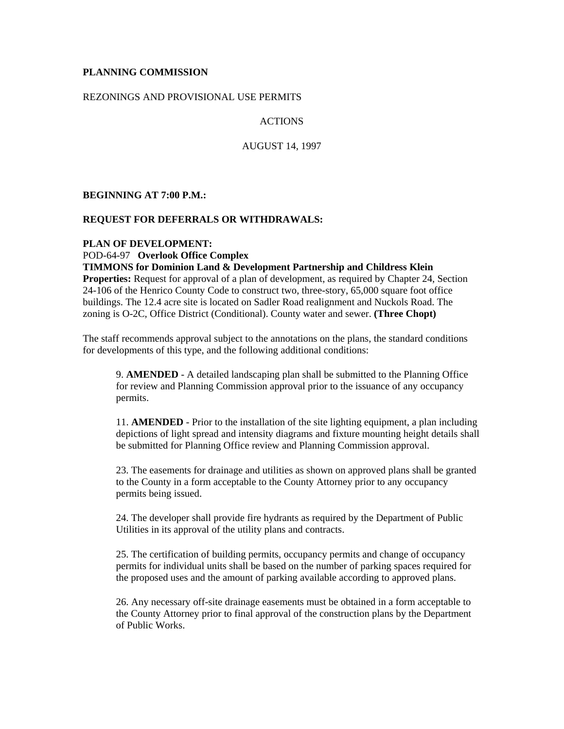### **PLANNING COMMISSION**

#### REZONINGS AND PROVISIONAL USE PERMITS

#### ACTIONS

AUGUST 14, 1997

**BEGINNING AT 7:00 P.M.:**

#### **REQUEST FOR DEFERRALS OR WITHDRAWALS:**

#### **PLAN OF DEVELOPMENT:**

POD-64-97 **Overlook Office Complex**

**TIMMONS for Dominion Land & Development Partnership and Childress Klein Properties:** Request for approval of a plan of development, as required by Chapter 24, Section 24-106 of the Henrico County Code to construct two, three-story, 65,000 square foot office buildings. The 12.4 acre site is located on Sadler Road realignment and Nuckols Road. The zoning is O-2C, Office District (Conditional). County water and sewer. **(Three Chopt)**

The staff recommends approval subject to the annotations on the plans, the standard conditions for developments of this type, and the following additional conditions:

9. **AMENDED** - A detailed landscaping plan shall be submitted to the Planning Office for review and Planning Commission approval prior to the issuance of any occupancy permits.

11. **AMENDED** - Prior to the installation of the site lighting equipment, a plan including depictions of light spread and intensity diagrams and fixture mounting height details shall be submitted for Planning Office review and Planning Commission approval.

23. The easements for drainage and utilities as shown on approved plans shall be granted to the County in a form acceptable to the County Attorney prior to any occupancy permits being issued.

24. The developer shall provide fire hydrants as required by the Department of Public Utilities in its approval of the utility plans and contracts.

25. The certification of building permits, occupancy permits and change of occupancy permits for individual units shall be based on the number of parking spaces required for the proposed uses and the amount of parking available according to approved plans.

26. Any necessary off-site drainage easements must be obtained in a form acceptable to the County Attorney prior to final approval of the construction plans by the Department of Public Works.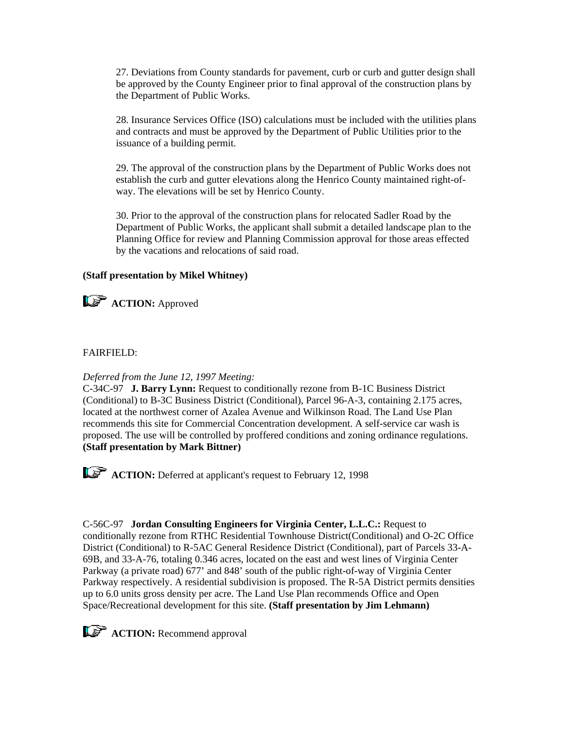27. Deviations from County standards for pavement, curb or curb and gutter design shall be approved by the County Engineer prior to final approval of the construction plans by the Department of Public Works.

28. Insurance Services Office (ISO) calculations must be included with the utilities plans and contracts and must be approved by the Department of Public Utilities prior to the issuance of a building permit.

29. The approval of the construction plans by the Department of Public Works does not establish the curb and gutter elevations along the Henrico County maintained right-ofway. The elevations will be set by Henrico County.

30. Prior to the approval of the construction plans for relocated Sadler Road by the Department of Public Works, the applicant shall submit a detailed landscape plan to the Planning Office for review and Planning Commission approval for those areas effected by the vacations and relocations of said road.

### **(Staff presentation by Mikel Whitney)**



**ACTION:** Approved

# FAIRFIELD:

# *Deferred from the June 12, 1997 Meeting:*

C-34C-97 **J. Barry Lynn:** Request to conditionally rezone from B-1C Business District (Conditional) to B-3C Business District (Conditional), Parcel 96-A-3, containing 2.175 acres, located at the northwest corner of Azalea Avenue and Wilkinson Road. The Land Use Plan recommends this site for Commercial Concentration development. A self-service car wash is proposed. The use will be controlled by proffered conditions and zoning ordinance regulations. **(Staff presentation by Mark Bittner)** 

**ACTION:** Deferred at applicant's request to February 12, 1998

C-56C-97 **Jordan Consulting Engineers for Virginia Center, L.L.C.:** Request to conditionally rezone from RTHC Residential Townhouse District(Conditional) and O-2C Office District (Conditional) to R-5AC General Residence District (Conditional), part of Parcels 33-A-69B, and 33-A-76, totaling 0.346 acres, located on the east and west lines of Virginia Center Parkway (a private road) 677' and 848' south of the public right-of-way of Virginia Center Parkway respectively. A residential subdivision is proposed. The R-5A District permits densities up to 6.0 units gross density per acre. The Land Use Plan recommends Office and Open Space/Recreational development for this site. **(Staff presentation by Jim Lehmann)**

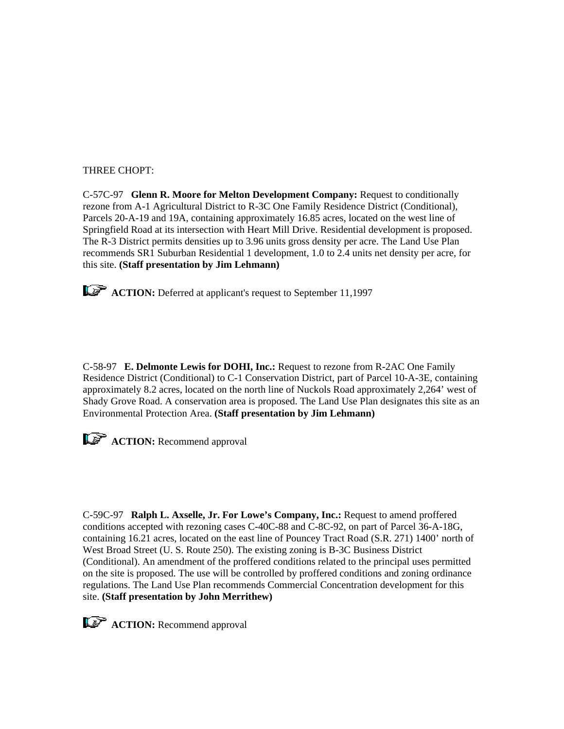### THREE CHOPT:

C-57C-97 **Glenn R. Moore for Melton Development Company:** Request to conditionally rezone from A-1 Agricultural District to R-3C One Family Residence District (Conditional), Parcels 20-A-19 and 19A, containing approximately 16.85 acres, located on the west line of Springfield Road at its intersection with Heart Mill Drive. Residential development is proposed. The R-3 District permits densities up to 3.96 units gross density per acre. The Land Use Plan recommends SR1 Suburban Residential 1 development, 1.0 to 2.4 units net density per acre, for this site. **(Staff presentation by Jim Lehmann)**

**ACTION:** Deferred at applicant's request to September 11,1997

C-58-97 **E. Delmonte Lewis for DOHI, Inc.:** Request to rezone from R-2AC One Family Residence District (Conditional) to C-1 Conservation District, part of Parcel 10-A-3E, containing approximately 8.2 acres, located on the north line of Nuckols Road approximately 2,264' west of Shady Grove Road. A conservation area is proposed. The Land Use Plan designates this site as an Environmental Protection Area. **(Staff presentation by Jim Lehmann)**



**ACTION:** Recommend approval

C-59C-97 **Ralph L. Axselle, Jr. For Lowe's Company, Inc.:** Request to amend proffered conditions accepted with rezoning cases C-40C-88 and C-8C-92, on part of Parcel 36-A-18G, containing 16.21 acres, located on the east line of Pouncey Tract Road (S.R. 271) 1400' north of West Broad Street (U. S. Route 250). The existing zoning is B-3C Business District (Conditional). An amendment of the proffered conditions related to the principal uses permitted on the site is proposed. The use will be controlled by proffered conditions and zoning ordinance regulations. The Land Use Plan recommends Commercial Concentration development for this site. **(Staff presentation by John Merrithew)**

**ACTION:** Recommend approval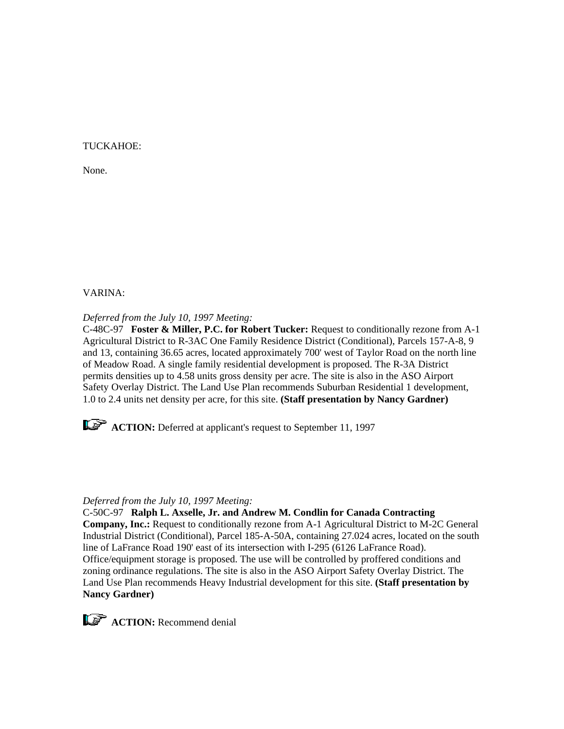### TUCKAHOE:

None.

### VARINA:

*Deferred from the July 10, 1997 Meeting:*

C-48C-97 **Foster & Miller, P.C. for Robert Tucker:** Request to conditionally rezone from A-1 Agricultural District to R-3AC One Family Residence District (Conditional), Parcels 157-A-8, 9 and 13, containing 36.65 acres, located approximately 700' west of Taylor Road on the north line of Meadow Road. A single family residential development is proposed. The R-3A District permits densities up to 4.58 units gross density per acre. The site is also in the ASO Airport Safety Overlay District. The Land Use Plan recommends Suburban Residential 1 development, 1.0 to 2.4 units net density per acre, for this site. **(Staff presentation by Nancy Gardner)**



*ACTION:* Deferred at applicant's request to September 11, 1997

### *Deferred from the July 10, 1997 Meeting:*

C-50C-97 **Ralph L. Axselle, Jr. and Andrew M. Condlin for Canada Contracting Company, Inc.:** Request to conditionally rezone from A-1 Agricultural District to M-2C General Industrial District (Conditional), Parcel 185-A-50A, containing 27.024 acres, located on the south line of LaFrance Road 190' east of its intersection with I-295 (6126 LaFrance Road). Office/equipment storage is proposed. The use will be controlled by proffered conditions and zoning ordinance regulations. The site is also in the ASO Airport Safety Overlay District. The Land Use Plan recommends Heavy Industrial development for this site. **(Staff presentation by Nancy Gardner)**

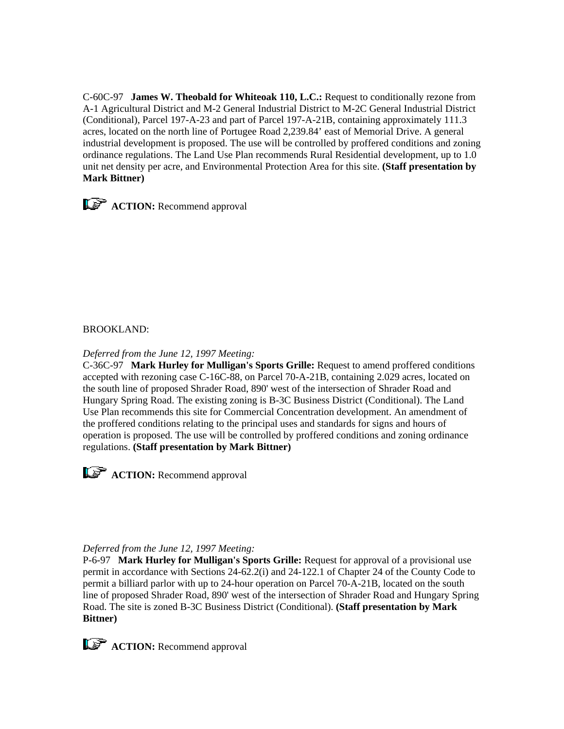C-60C-97 **James W. Theobald for Whiteoak 110, L.C.:** Request to conditionally rezone from A-1 Agricultural District and M-2 General Industrial District to M-2C General Industrial District (Conditional), Parcel 197-A-23 and part of Parcel 197-A-21B, containing approximately 111.3 acres, located on the north line of Portugee Road 2,239.84' east of Memorial Drive. A general industrial development is proposed. The use will be controlled by proffered conditions and zoning ordinance regulations. The Land Use Plan recommends Rural Residential development, up to 1.0 unit net density per acre, and Environmental Protection Area for this site. **(Staff presentation by Mark Bittner)**



# BROOKLAND:

### *Deferred from the June 12, 1997 Meeting:*

C-36C-97 **Mark Hurley for Mulligan's Sports Grille:** Request to amend proffered conditions accepted with rezoning case C-16C-88, on Parcel 70-A-21B, containing 2.029 acres, located on the south line of proposed Shrader Road, 890' west of the intersection of Shrader Road and Hungary Spring Road. The existing zoning is B-3C Business District (Conditional). The Land Use Plan recommends this site for Commercial Concentration development. An amendment of the proffered conditions relating to the principal uses and standards for signs and hours of operation is proposed. The use will be controlled by proffered conditions and zoning ordinance regulations. **(Staff presentation by Mark Bittner)**



# *Deferred from the June 12, 1997 Meeting:*

P-6-97 **Mark Hurley for Mulligan's Sports Grille:** Request for approval of a provisional use permit in accordance with Sections 24-62.2(i) and 24-122.1 of Chapter 24 of the County Code to permit a billiard parlor with up to 24-hour operation on Parcel 70-A-21B, located on the south line of proposed Shrader Road, 890' west of the intersection of Shrader Road and Hungary Spring Road. The site is zoned B-3C Business District (Conditional). **(Staff presentation by Mark Bittner)**